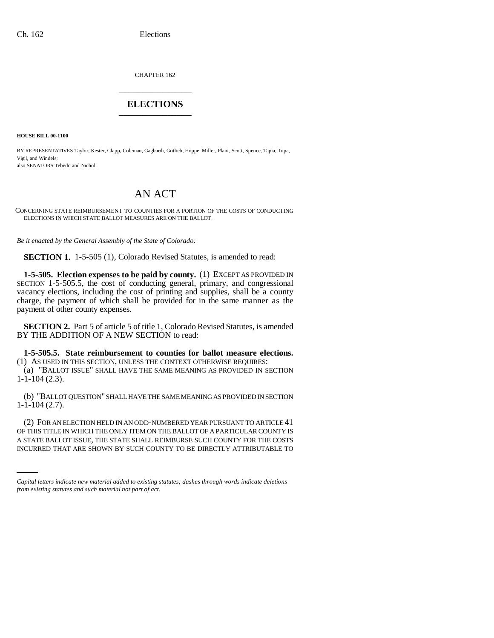CHAPTER 162 \_\_\_\_\_\_\_\_\_\_\_\_\_\_\_

## **ELECTIONS** \_\_\_\_\_\_\_\_\_\_\_\_\_\_\_

**HOUSE BILL 00-1100** 

BY REPRESENTATIVES Taylor, Kester, Clapp, Coleman, Gagliardi, Gotlieb, Hoppe, Miller, Plant, Scott, Spence, Tapia, Tupa, Vigil, and Windels; also SENATORS Tebedo and Nichol.

## AN ACT

CONCERNING STATE REIMBURSEMENT TO COUNTIES FOR A PORTION OF THE COSTS OF CONDUCTING ELECTIONS IN WHICH STATE BALLOT MEASURES ARE ON THE BALLOT.

*Be it enacted by the General Assembly of the State of Colorado:*

**SECTION 1.** 1-5-505 (1), Colorado Revised Statutes, is amended to read:

**1-5-505. Election expenses to be paid by county.** (1) EXCEPT AS PROVIDED IN SECTION 1-5-505.5, the cost of conducting general, primary, and congressional vacancy elections, including the cost of printing and supplies, shall be a county charge, the payment of which shall be provided for in the same manner as the payment of other county expenses.

**SECTION 2.** Part 5 of article 5 of title 1, Colorado Revised Statutes, is amended BY THE ADDITION OF A NEW SECTION to read:

**1-5-505.5. State reimbursement to counties for ballot measure elections.** (1) AS USED IN THIS SECTION, UNLESS THE CONTEXT OTHERWISE REQUIRES: (a) "BALLOT ISSUE" SHALL HAVE THE SAME MEANING AS PROVIDED IN SECTION 1-1-104 (2.3).

(b) "BALLOT QUESTION" SHALL HAVE THE SAME MEANING AS PROVIDED IN SECTION 1-1-104 (2.7).

OF THIS TITLE IN WHICH THE ONLY ITEM ON THE BALLOT OF A PARTICULAR COUNTY IS (2) FOR AN ELECTION HELD IN AN ODD-NUMBERED YEAR PURSUANT TO ARTICLE 41 A STATE BALLOT ISSUE, THE STATE SHALL REIMBURSE SUCH COUNTY FOR THE COSTS INCURRED THAT ARE SHOWN BY SUCH COUNTY TO BE DIRECTLY ATTRIBUTABLE TO

*Capital letters indicate new material added to existing statutes; dashes through words indicate deletions from existing statutes and such material not part of act.*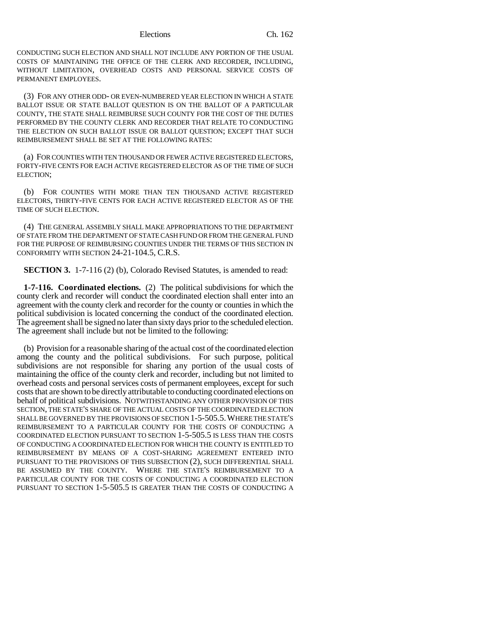Elections Ch. 162

CONDUCTING SUCH ELECTION AND SHALL NOT INCLUDE ANY PORTION OF THE USUAL COSTS OF MAINTAINING THE OFFICE OF THE CLERK AND RECORDER, INCLUDING, WITHOUT LIMITATION, OVERHEAD COSTS AND PERSONAL SERVICE COSTS OF PERMANENT EMPLOYEES.

(3) FOR ANY OTHER ODD- OR EVEN-NUMBERED YEAR ELECTION IN WHICH A STATE BALLOT ISSUE OR STATE BALLOT QUESTION IS ON THE BALLOT OF A PARTICULAR COUNTY, THE STATE SHALL REIMBURSE SUCH COUNTY FOR THE COST OF THE DUTIES PERFORMED BY THE COUNTY CLERK AND RECORDER THAT RELATE TO CONDUCTING THE ELECTION ON SUCH BALLOT ISSUE OR BALLOT QUESTION; EXCEPT THAT SUCH REIMBURSEMENT SHALL BE SET AT THE FOLLOWING RATES:

(a) FOR COUNTIES WITH TEN THOUSAND OR FEWER ACTIVE REGISTERED ELECTORS, FORTY-FIVE CENTS FOR EACH ACTIVE REGISTERED ELECTOR AS OF THE TIME OF SUCH ELECTION;

(b) FOR COUNTIES WITH MORE THAN TEN THOUSAND ACTIVE REGISTERED ELECTORS, THIRTY-FIVE CENTS FOR EACH ACTIVE REGISTERED ELECTOR AS OF THE TIME OF SUCH ELECTION.

(4) THE GENERAL ASSEMBLY SHALL MAKE APPROPRIATIONS TO THE DEPARTMENT OF STATE FROM THE DEPARTMENT OF STATE CASH FUND OR FROM THE GENERAL FUND FOR THE PURPOSE OF REIMBURSING COUNTIES UNDER THE TERMS OF THIS SECTION IN CONFORMITY WITH SECTION 24-21-104.5, C.R.S.

**SECTION 3.** 1-7-116 (2) (b), Colorado Revised Statutes, is amended to read:

**1-7-116. Coordinated elections.** (2) The political subdivisions for which the county clerk and recorder will conduct the coordinated election shall enter into an agreement with the county clerk and recorder for the county or counties in which the political subdivision is located concerning the conduct of the coordinated election. The agreement shall be signed no later than sixty days prior to the scheduled election. The agreement shall include but not be limited to the following:

(b) Provision for a reasonable sharing of the actual cost of the coordinated election among the county and the political subdivisions. For such purpose, political subdivisions are not responsible for sharing any portion of the usual costs of maintaining the office of the county clerk and recorder, including but not limited to overhead costs and personal services costs of permanent employees, except for such costs that are shown to be directly attributable to conducting coordinated elections on behalf of political subdivisions. NOTWITHSTANDING ANY OTHER PROVISION OF THIS SECTION, THE STATE'S SHARE OF THE ACTUAL COSTS OF THE COORDINATED ELECTION SHALL BE GOVERNED BY THE PROVISIONS OF SECTION 1-5-505.5.WHERE THE STATE'S REIMBURSEMENT TO A PARTICULAR COUNTY FOR THE COSTS OF CONDUCTING A COORDINATED ELECTION PURSUANT TO SECTION 1-5-505.5 IS LESS THAN THE COSTS OF CONDUCTING A COORDINATED ELECTION FOR WHICH THE COUNTY IS ENTITLED TO REIMBURSEMENT BY MEANS OF A COST-SHARING AGREEMENT ENTERED INTO PURSUANT TO THE PROVISIONS OF THIS SUBSECTION (2), SUCH DIFFERENTIAL SHALL BE ASSUMED BY THE COUNTY. WHERE THE STATE'S REIMBURSEMENT TO A PARTICULAR COUNTY FOR THE COSTS OF CONDUCTING A COORDINATED ELECTION PURSUANT TO SECTION 1-5-505.5 IS GREATER THAN THE COSTS OF CONDUCTING A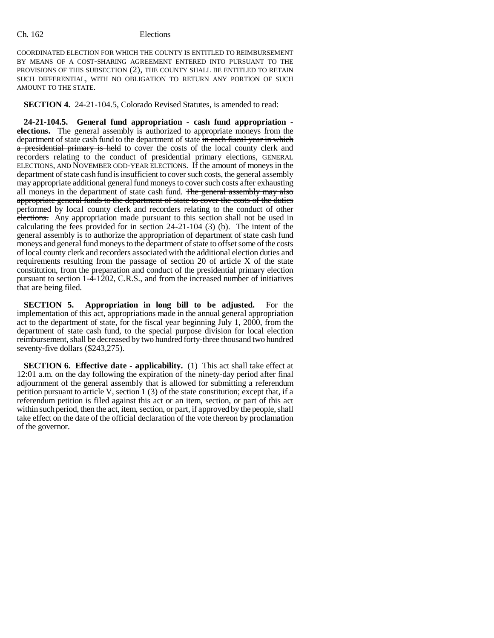## Ch. 162 Elections

COORDINATED ELECTION FOR WHICH THE COUNTY IS ENTITLED TO REIMBURSEMENT BY MEANS OF A COST-SHARING AGREEMENT ENTERED INTO PURSUANT TO THE PROVISIONS OF THIS SUBSECTION (2), THE COUNTY SHALL BE ENTITLED TO RETAIN SUCH DIFFERENTIAL, WITH NO OBLIGATION TO RETURN ANY PORTION OF SUCH AMOUNT TO THE STATE.

**SECTION 4.** 24-21-104.5, Colorado Revised Statutes, is amended to read:

**24-21-104.5. General fund appropriation - cash fund appropriation elections.** The general assembly is authorized to appropriate moneys from the department of state cash fund to the department of state in each fiscal year in which a presidential primary is held to cover the costs of the local county clerk and recorders relating to the conduct of presidential primary elections, GENERAL ELECTIONS, AND NOVEMBER ODD-YEAR ELECTIONS. If the amount of moneys in the department of state cash fund is insufficient to cover such costs, the general assembly may appropriate additional general fund moneys to cover such costs after exhausting all moneys in the department of state cash fund. The general assembly may also appropriate general funds to the department of state to cover the costs of the duties performed by local county clerk and recorders relating to the conduct of other elections. Any appropriation made pursuant to this section shall not be used in calculating the fees provided for in section 24-21-104 (3) (b). The intent of the general assembly is to authorize the appropriation of department of state cash fund moneys and general fund moneys to the department of state to offset some of the costs of local county clerk and recorders associated with the additional election duties and requirements resulting from the passage of section 20 of article X of the state constitution, from the preparation and conduct of the presidential primary election pursuant to section 1-4-1202, C.R.S., and from the increased number of initiatives that are being filed.

**SECTION 5. Appropriation in long bill to be adjusted.** For the implementation of this act, appropriations made in the annual general appropriation act to the department of state, for the fiscal year beginning July 1, 2000, from the department of state cash fund, to the special purpose division for local election reimbursement, shall be decreased by two hundred forty-three thousand two hundred seventy-five dollars (\$243,275).

**SECTION 6. Effective date - applicability.** (1) This act shall take effect at 12:01 a.m. on the day following the expiration of the ninety-day period after final adjournment of the general assembly that is allowed for submitting a referendum petition pursuant to article V, section 1 (3) of the state constitution; except that, if a referendum petition is filed against this act or an item, section, or part of this act within such period, then the act, item, section, or part, if approved by the people, shall take effect on the date of the official declaration of the vote thereon by proclamation of the governor.